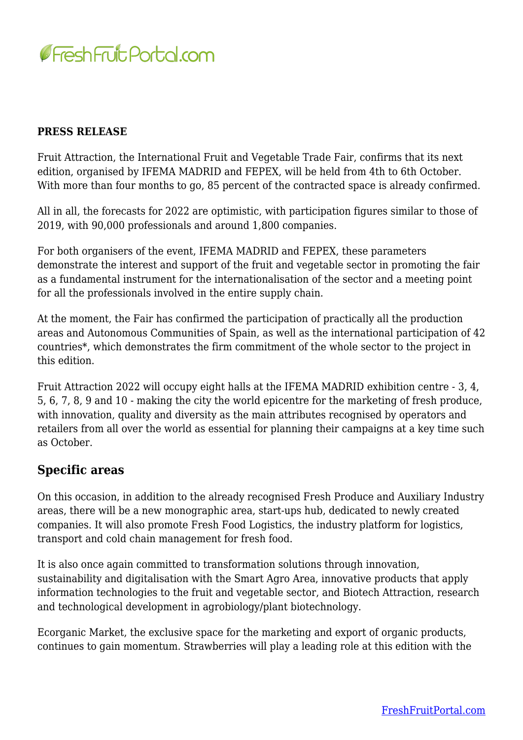

## **PRESS RELEASE**

Fruit Attraction, the International Fruit and Vegetable Trade Fair, confirms that its next edition, organised by IFEMA MADRID and FEPEX, will be held from 4th to 6th October. With more than four months to go, 85 percent of the contracted space is already confirmed.

All in all, the forecasts for 2022 are optimistic, with participation figures similar to those of 2019, with 90,000 professionals and around 1,800 companies.

For both organisers of the event, IFEMA MADRID and FEPEX, these parameters demonstrate the interest and support of the fruit and vegetable sector in promoting the fair as a fundamental instrument for the internationalisation of the sector and a meeting point for all the professionals involved in the entire supply chain.

At the moment, the Fair has confirmed the participation of practically all the production areas and Autonomous Communities of Spain, as well as the international participation of 42 countries\*, which demonstrates the firm commitment of the whole sector to the project in this edition.

Fruit Attraction 2022 will occupy eight halls at the IFEMA MADRID exhibition centre - 3, 4, 5, 6, 7, 8, 9 and 10 - making the city the world epicentre for the marketing of fresh produce, with innovation, quality and diversity as the main attributes recognised by operators and retailers from all over the world as essential for planning their campaigns at a key time such as October.

## **Specific areas**

On this occasion, in addition to the already recognised Fresh Produce and Auxiliary Industry areas, there will be a new monographic area, start-ups hub, dedicated to newly created companies. It will also promote Fresh Food Logistics, the industry platform for logistics, transport and cold chain management for fresh food.

It is also once again committed to transformation solutions through innovation, sustainability and digitalisation with the Smart Agro Area, innovative products that apply information technologies to the fruit and vegetable sector, and Biotech Attraction, research and technological development in agrobiology/plant biotechnology.

Ecorganic Market, the exclusive space for the marketing and export of organic products, continues to gain momentum. Strawberries will play a leading role at this edition with the